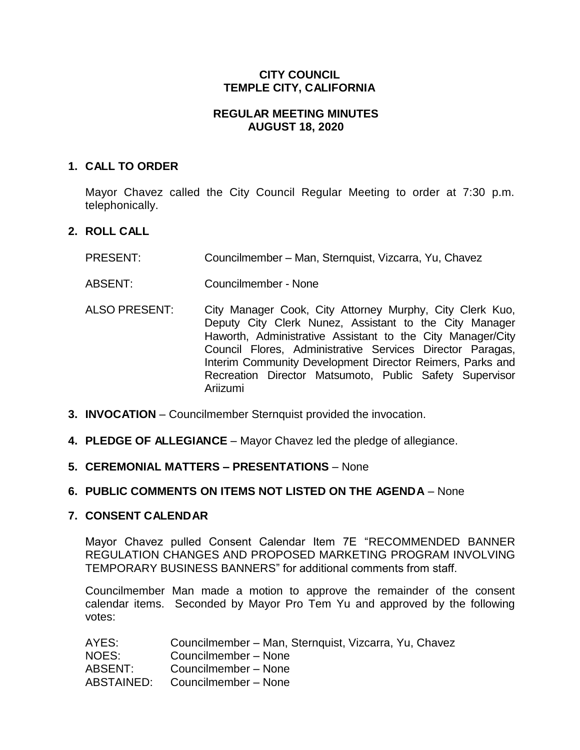# **CITY COUNCIL TEMPLE CITY, CALIFORNIA**

# **REGULAR MEETING MINUTES AUGUST 18, 2020**

# **1. CALL TO ORDER**

Mayor Chavez called the City Council Regular Meeting to order at 7:30 p.m. telephonically.

# **2. ROLL CALL**

- PRESENT: Councilmember Man, Sternquist, Vizcarra, Yu, Chavez
- ABSENT: Councilmember None
- ALSO PRESENT: City Manager Cook, City Attorney Murphy, City Clerk Kuo, Deputy City Clerk Nunez, Assistant to the City Manager Haworth, Administrative Assistant to the City Manager/City Council Flores, Administrative Services Director Paragas, Interim Community Development Director Reimers, Parks and Recreation Director Matsumoto, Public Safety Supervisor Ariizumi
- **3. INVOCATION** Councilmember Sternquist provided the invocation.
- **4. PLEDGE OF ALLEGIANCE** Mayor Chavez led the pledge of allegiance.
- **5. CEREMONIAL MATTERS – PRESENTATIONS**  None

### **6. PUBLIC COMMENTS ON ITEMS NOT LISTED ON THE AGENDA** – None

### **7. CONSENT CALENDAR**

Mayor Chavez pulled Consent Calendar Item 7E "RECOMMENDED BANNER REGULATION CHANGES AND PROPOSED MARKETING PROGRAM INVOLVING TEMPORARY BUSINESS BANNERS" for additional comments from staff.

Councilmember Man made a motion to approve the remainder of the consent calendar items. Seconded by Mayor Pro Tem Yu and approved by the following votes:

| Councilmember - Man, Sternquist, Vizcarra, Yu, Chavez |
|-------------------------------------------------------|
| Councilmember - None                                  |
| Councilmember - None                                  |
| Councilmember - None                                  |
|                                                       |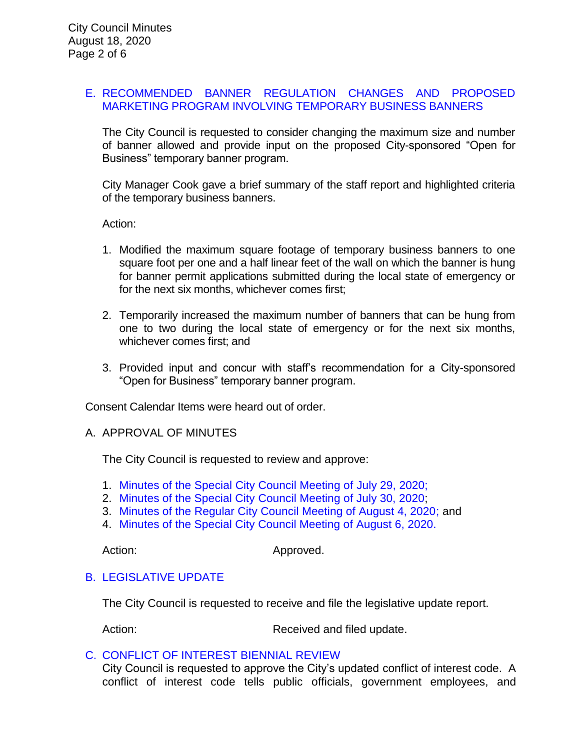### E. [RECOMMENDED BANNER REGULATION CHANGES AND PROPOSED](https://ca-templecity.civicplus.com/DocumentCenter/View/14910/09-7E-Banner-Regulation_Staff-Report)  [MARKETING PROGRAM INVOLVING TEMPORARY BUSINESS BANNERS](https://ca-templecity.civicplus.com/DocumentCenter/View/14910/09-7E-Banner-Regulation_Staff-Report)

The City Council is requested to consider changing the maximum size and number of banner allowed and provide input on the proposed City-sponsored "Open for Business" temporary banner program.

City Manager Cook gave a brief summary of the staff report and highlighted criteria of the temporary business banners.

Action:

- 1. Modified the maximum square footage of temporary business banners to one square foot per one and a half linear feet of the wall on which the banner is hung for banner permit applications submitted during the local state of emergency or for the next six months, whichever comes first;
- 2. Temporarily increased the maximum number of banners that can be hung from one to two during the local state of emergency or for the next six months, whichever comes first; and
- 3. Provided input and concur with staff's recommendation for a City-sponsored "Open for Business" temporary banner program.

Consent Calendar Items were heard out of order.

### A. APPROVAL OF MINUTES

The City Council is requested to review and approve:

- 1. Minutes of the Special [City Council Meeting of](https://ca-templecity.civicplus.com/DocumentCenter/View/14901/02-7A-1-CCM---2020-07-29-Closed-Session_Anticipated-Litigation-and-eviction-moratorium) July 29, 2020;
- 2. [Minutes of the Special City Council Meeting of July 30, 2020;](https://ca-templecity.civicplus.com/DocumentCenter/View/14902/03-7A-2-CCM---2020-07-30-Sheriff-Monthly)
- 3. [Minutes of the Regular City Council Meeting of August 4, 2020;](https://ca-templecity.civicplus.com/DocumentCenter/View/14903/04-7A-3-CCM---2020-08-04) and
- 4. [Minutes of the Special City Council Meeting of August 6, 2020.](https://ca-templecity.civicplus.com/DocumentCenter/View/14909/05-7A-4-CCM---2020-08-06-Joint-Meeting-with-the-TCUSD)

Action: Approved.

### B. [LEGISLATIVE UPDATE](https://ca-templecity.civicplus.com/DocumentCenter/View/14904/05-7B-Legislative-Update_Staff-Report_w-attachment)

The City Council is requested to receive and file the legislative update report.

Action: Received and filed update.

### C. [CONFLICT OF INTEREST BIENNIAL REVIEW](https://ca-templecity.civicplus.com/DocumentCenter/View/14905/06-7C-Biennial-Review-of-Conflict-of-Interest_Staff-Report_w-attachment-and-exhibits)

City Council is requested to approve the City's updated conflict of interest code. A conflict of interest code tells public officials, government employees, and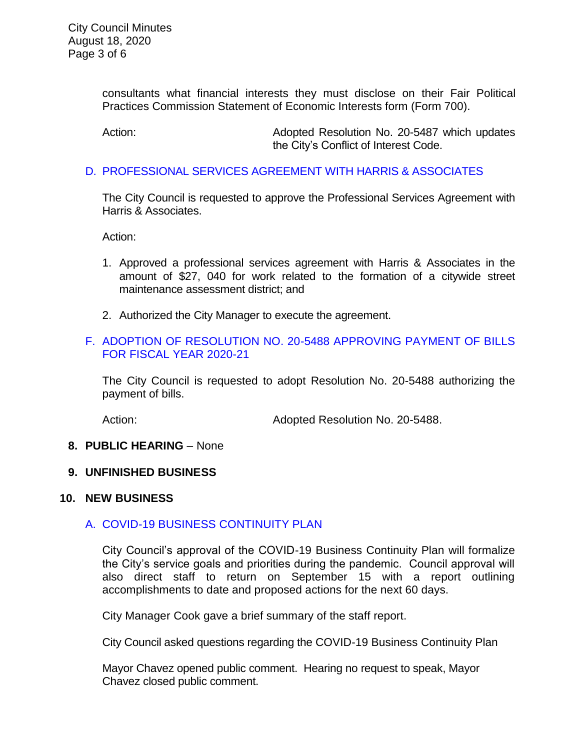consultants what financial interests they must disclose on their Fair Political Practices Commission Statement of Economic Interests form (Form 700).

Action: Adopted Resolution No. 20-5487 which updates the City's Conflict of Interest Code.

### D. [PROFESSIONAL SERVICES AGREEMENT WITH HARRIS & ASSOCIATES](https://ca-templecity.civicplus.com/DocumentCenter/View/14906/07-7D-Harris-and-Associates_Staff-Report_w-attachment)

The City Council is requested to approve the Professional Services Agreement with Harris & Associates.

Action:

- 1. Approved a professional services agreement with Harris & Associates in the amount of \$27, 040 for work related to the formation of a citywide street maintenance assessment district; and
- 2. Authorized the City Manager to execute the agreement.

# F. [ADOPTION OF RESOLUTION NO. 20-5488](https://ca-templecity.civicplus.com/DocumentCenter/View/14907/09-7F-Warrant-Register_Reso-No-20-5488-81820---Warrants--Demands-FY-2020-2021) APPROVING PAYMENT OF BILLS [FOR FISCAL YEAR 2020-21](https://ca-templecity.civicplus.com/DocumentCenter/View/14907/09-7F-Warrant-Register_Reso-No-20-5488-81820---Warrants--Demands-FY-2020-2021)

The City Council is requested to adopt Resolution No. 20-5488 authorizing the payment of bills.

Action: **Adopted Resolution No. 20-5488.** 

# **8. PUBLIC HEARING** – None

### **9. UNFINISHED BUSINESS**

### **10. NEW BUSINESS**

# A. [COVID-19 BUSINESS CONTINUITY PLAN](https://ca-templecity.civicplus.com/DocumentCenter/View/14911/11-10A_Continuity-Plan_Staff-Report_w-attachment)

City Council's approval of the COVID-19 Business Continuity Plan will formalize the City's service goals and priorities during the pandemic. Council approval will also direct staff to return on September 15 with a report outlining accomplishments to date and proposed actions for the next 60 days.

City Manager Cook gave a brief summary of the staff report.

City Council asked questions regarding the COVID-19 Business Continuity Plan

Mayor Chavez opened public comment. Hearing no request to speak, Mayor Chavez closed public comment.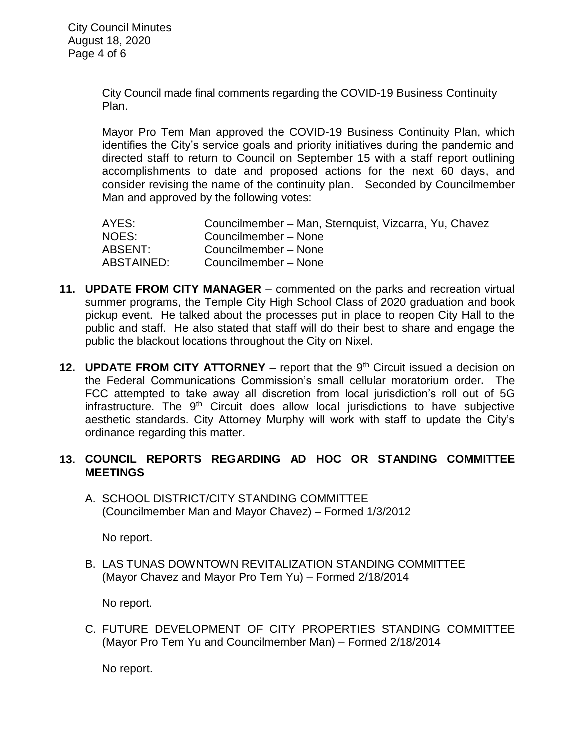City Council made final comments regarding the COVID-19 Business Continuity Plan.

Mayor Pro Tem Man approved the COVID-19 Business Continuity Plan, which identifies the City's service goals and priority initiatives during the pandemic and directed staff to return to Council on September 15 with a staff report outlining accomplishments to date and proposed actions for the next 60 days, and consider revising the name of the continuity plan. Seconded by Councilmember Man and approved by the following votes:

| AYES:      | Councilmember – Man, Sternquist, Vizcarra, Yu, Chavez |
|------------|-------------------------------------------------------|
| NOES:      | Councilmember - None                                  |
| ABSENT:    | Councilmember - None                                  |
| ABSTAINED: | Councilmember - None                                  |

- **11. UPDATE FROM CITY MANAGER** commented on the parks and recreation virtual summer programs, the Temple City High School Class of 2020 graduation and book pickup event. He talked about the processes put in place to reopen City Hall to the public and staff. He also stated that staff will do their best to share and engage the public the blackout locations throughout the City on Nixel.
- **12. UPDATE FROM CITY ATTORNEY** report that the 9<sup>th</sup> Circuit issued a decision on the Federal Communications Commission's small cellular moratorium order**.** The FCC attempted to take away all discretion from local jurisdiction's roll out of 5G infrastructure. The  $9<sup>th</sup>$  Circuit does allow local jurisdictions to have subjective aesthetic standards. City Attorney Murphy will work with staff to update the City's ordinance regarding this matter.

# **13. COUNCIL REPORTS REGARDING AD HOC OR STANDING COMMITTEE MEETINGS**

A. SCHOOL DISTRICT/CITY STANDING COMMITTEE (Councilmember Man and Mayor Chavez) – Formed 1/3/2012

No report.

B. LAS TUNAS DOWNTOWN REVITALIZATION STANDING COMMITTEE (Mayor Chavez and Mayor Pro Tem Yu) – Formed 2/18/2014

No report.

C. FUTURE DEVELOPMENT OF CITY PROPERTIES STANDING COMMITTEE (Mayor Pro Tem Yu and Councilmember Man) – Formed 2/18/2014

No report.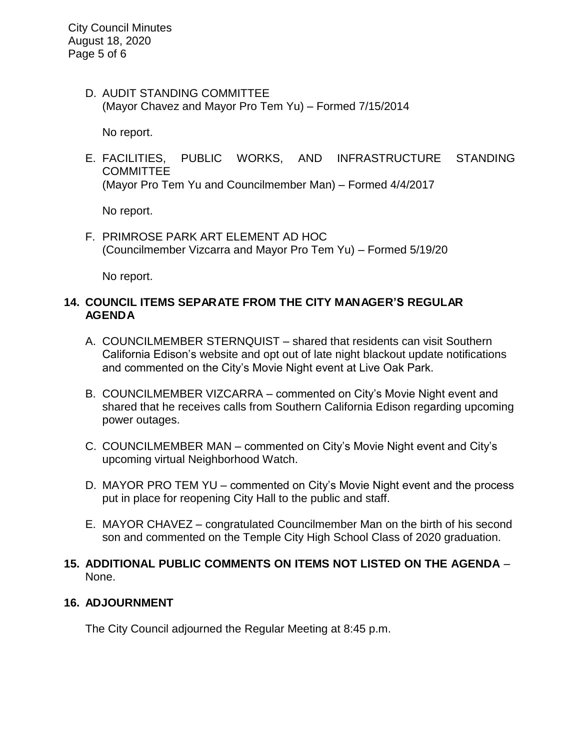D. AUDIT STANDING COMMITTEE (Mayor Chavez and Mayor Pro Tem Yu) – Formed 7/15/2014

No report.

E. FACILITIES, PUBLIC WORKS, AND INFRASTRUCTURE STANDING **COMMITTEE** (Mayor Pro Tem Yu and Councilmember Man) – Formed 4/4/2017

No report.

F. PRIMROSE PARK ART ELEMENT AD HOC (Councilmember Vizcarra and Mayor Pro Tem Yu) – Formed 5/19/20

No report.

# **14. COUNCIL ITEMS SEPARATE FROM THE CITY MANAGER'S REGULAR AGENDA**

- A. COUNCILMEMBER STERNQUIST shared that residents can visit Southern California Edison's website and opt out of late night blackout update notifications and commented on the City's Movie Night event at Live Oak Park.
- B. COUNCILMEMBER VIZCARRA commented on City's Movie Night event and shared that he receives calls from Southern California Edison regarding upcoming power outages.
- C. COUNCILMEMBER MAN commented on City's Movie Night event and City's upcoming virtual Neighborhood Watch.
- D. MAYOR PRO TEM YU commented on City's Movie Night event and the process put in place for reopening City Hall to the public and staff.
- E. MAYOR CHAVEZ congratulated Councilmember Man on the birth of his second son and commented on the Temple City High School Class of 2020 graduation.
- **15. ADDITIONAL PUBLIC COMMENTS ON ITEMS NOT LISTED ON THE AGENDA** None.

# **16. ADJOURNMENT**

The City Council adjourned the Regular Meeting at 8:45 p.m.